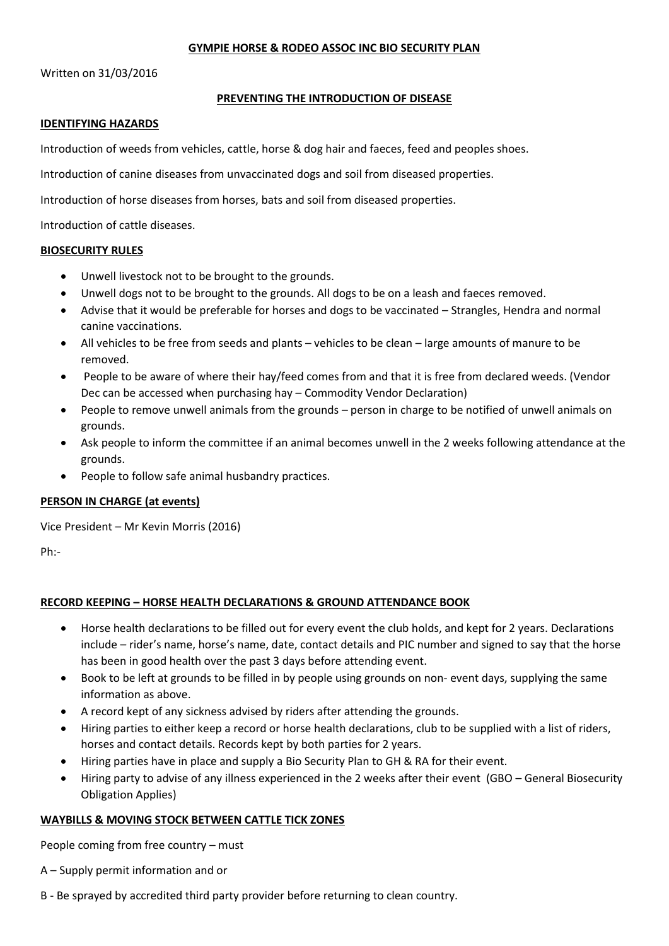## **GYMPIE HORSE & RODEO ASSOC INC BIO SECURITY PLAN**

Written on 31/03/2016

# **PREVENTING THE INTRODUCTION OF DISEASE**

### **IDENTIFYING HAZARDS**

Introduction of weeds from vehicles, cattle, horse & dog hair and faeces, feed and peoples shoes.

Introduction of canine diseases from unvaccinated dogs and soil from diseased properties.

Introduction of horse diseases from horses, bats and soil from diseased properties.

Introduction of cattle diseases.

### **BIOSECURITY RULES**

- Unwell livestock not to be brought to the grounds.
- Unwell dogs not to be brought to the grounds. All dogs to be on a leash and faeces removed.
- Advise that it would be preferable for horses and dogs to be vaccinated Strangles, Hendra and normal canine vaccinations.
- All vehicles to be free from seeds and plants vehicles to be clean large amounts of manure to be removed.
- People to be aware of where their hay/feed comes from and that it is free from declared weeds. (Vendor Dec can be accessed when purchasing hay – Commodity Vendor Declaration)
- People to remove unwell animals from the grounds person in charge to be notified of unwell animals on grounds.
- Ask people to inform the committee if an animal becomes unwell in the 2 weeks following attendance at the grounds.
- People to follow safe animal husbandry practices.

## **PERSON IN CHARGE (at events)**

Vice President – Mr Kevin Morris (2016)

Ph:-

# **RECORD KEEPING – HORSE HEALTH DECLARATIONS & GROUND ATTENDANCE BOOK**

- Horse health declarations to be filled out for every event the club holds, and kept for 2 years. Declarations include – rider's name, horse's name, date, contact details and PIC number and signed to say that the horse has been in good health over the past 3 days before attending event.
- Book to be left at grounds to be filled in by people using grounds on non- event days, supplying the same information as above.
- A record kept of any sickness advised by riders after attending the grounds.
- Hiring parties to either keep a record or horse health declarations, club to be supplied with a list of riders, horses and contact details. Records kept by both parties for 2 years.
- Hiring parties have in place and supply a Bio Security Plan to GH & RA for their event.
- Hiring party to advise of any illness experienced in the 2 weeks after their event (GBO General Biosecurity Obligation Applies)

## **WAYBILLS & MOVING STOCK BETWEEN CATTLE TICK ZONES**

People coming from free country – must

- A Supply permit information and or
- B Be sprayed by accredited third party provider before returning to clean country.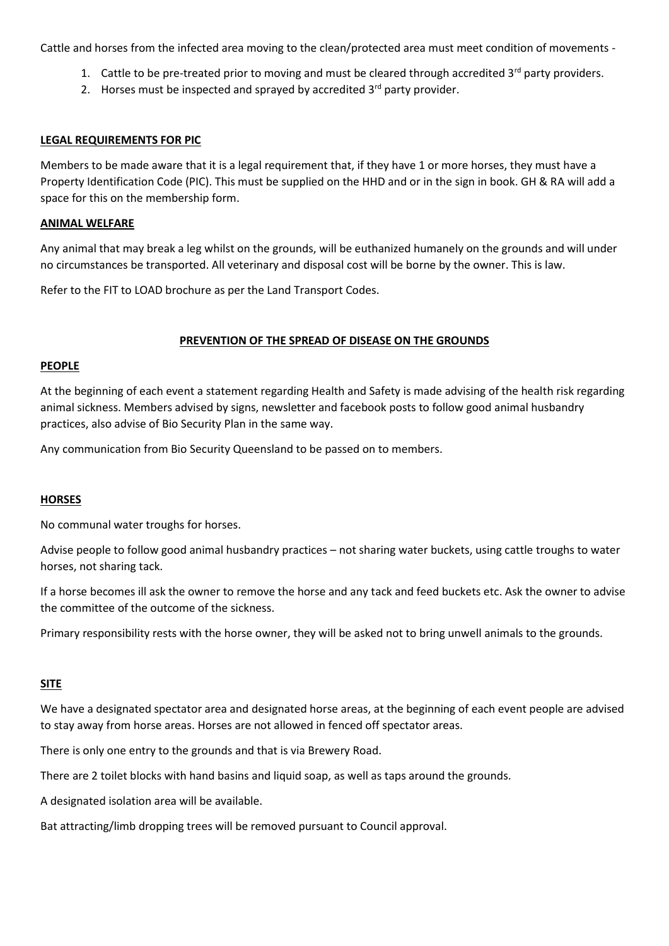Cattle and horses from the infected area moving to the clean/protected area must meet condition of movements -

- 1. Cattle to be pre-treated prior to moving and must be cleared through accredited 3<sup>rd</sup> party providers.
- 2. Horses must be inspected and sprayed by accredited  $3<sup>rd</sup>$  party provider.

# **LEGAL REQUIREMENTS FOR PIC**

Members to be made aware that it is a legal requirement that, if they have 1 or more horses, they must have a Property Identification Code (PIC). This must be supplied on the HHD and or in the sign in book. GH & RA will add a space for this on the membership form.

## **ANIMAL WELFARE**

Any animal that may break a leg whilst on the grounds, will be euthanized humanely on the grounds and will under no circumstances be transported. All veterinary and disposal cost will be borne by the owner. This is law.

Refer to the FIT to LOAD brochure as per the Land Transport Codes.

# **PREVENTION OF THE SPREAD OF DISEASE ON THE GROUNDS**

## **PEOPLE**

At the beginning of each event a statement regarding Health and Safety is made advising of the health risk regarding animal sickness. Members advised by signs, newsletter and facebook posts to follow good animal husbandry practices, also advise of Bio Security Plan in the same way.

Any communication from Bio Security Queensland to be passed on to members.

# **HORSES**

No communal water troughs for horses.

Advise people to follow good animal husbandry practices – not sharing water buckets, using cattle troughs to water horses, not sharing tack.

If a horse becomes ill ask the owner to remove the horse and any tack and feed buckets etc. Ask the owner to advise the committee of the outcome of the sickness.

Primary responsibility rests with the horse owner, they will be asked not to bring unwell animals to the grounds.

## **SITE**

We have a designated spectator area and designated horse areas, at the beginning of each event people are advised to stay away from horse areas. Horses are not allowed in fenced off spectator areas.

There is only one entry to the grounds and that is via Brewery Road.

There are 2 toilet blocks with hand basins and liquid soap, as well as taps around the grounds.

A designated isolation area will be available.

Bat attracting/limb dropping trees will be removed pursuant to Council approval.